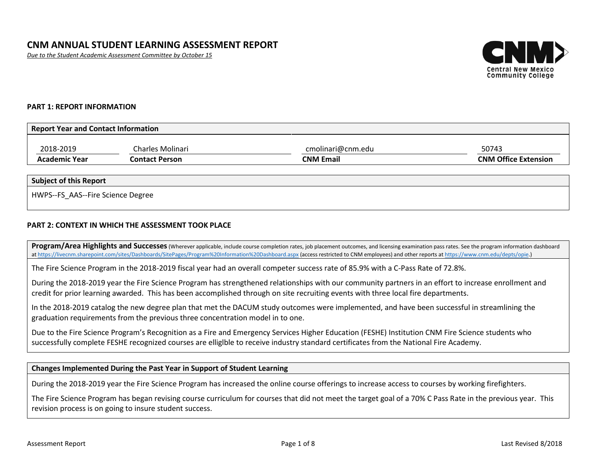*Due to the Student Academic Assessment Committee by October 15*



### **PART 1: REPORT INFORMATION**

| <b>Report Year and Contact Information</b> |                  |                   |                             |  |  |  |
|--------------------------------------------|------------------|-------------------|-----------------------------|--|--|--|
| 2018-2019                                  | Charles Molinari | cmolinari@cnm.edu | 50743                       |  |  |  |
| <b>Academic Year</b>                       | Contact Person   | <b>CNM Email</b>  | <b>CNM Office Extension</b> |  |  |  |

### **Subject of this Report**

HWPS--FS\_AAS--Fire Science Degree

### **PART 2: CONTEXT IN WHICH THE ASSESSMENT TOOK PLACE**

Program/Area Highlights and Successes (Wherever applicable, include course completion rates, job placement outcomes, and licensing examination pass rates. See the program information dashboard a[t https://livecnm.sharepoint.com/sites/Dashboards/SitePages/Program%20Information%20Dashboard.aspx](https://livecnm.sharepoint.com/sites/Dashboards/SitePages/Program%20Information%20Dashboard.aspx) (access restricted to CNM employees) and other reports at [https://www.cnm.edu/depts/opie.\)](https://www.cnm.edu/depts/opie)

The Fire Science Program in the 2018-2019 fiscal year had an overall competer success rate of 85.9% with a C-Pass Rate of 72.8%.

During the 2018-2019 year the Fire Science Program has strengthened relationships with our community partners in an effort to increase enrollment and credit for prior learning awarded. This has been accomplished through on site recruiting events with three local fire departments.

In the 2018-2019 catalog the new degree plan that met the DACUM study outcomes were implemented, and have been successful in streamlining the graduation requirements from the previous three concentration model in to one.

Due to the Fire Science Program's Recognition as a Fire and Emergency Services Higher Education (FESHE) Institution CNM Fire Science students who successfully complete FESHE recognized courses are elliglble to receive industry standard certificates from the National Fire Academy.

### **Changes Implemented During the Past Year in Support of Student Learning**

During the 2018-2019 year the Fire Science Program has increased the online course offerings to increase access to courses by working firefighters.

The Fire Science Program has began revising course curriculum for courses that did not meet the target goal of a 70% C Pass Rate in the previous year. This revision process is on going to insure student success.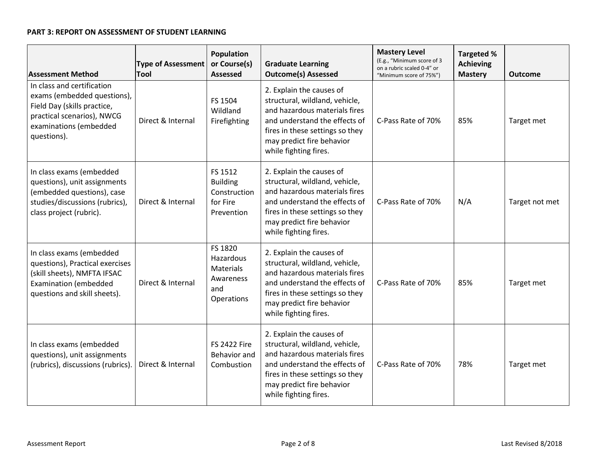# **PART 3: REPORT ON ASSESSMENT OF STUDENT LEARNING**

| <b>Assessment Method</b>                                                                                                                                        | <b>Type of Assessment</b><br>Tool | <b>Population</b><br>or Course(s)<br><b>Assessed</b>                       | <b>Graduate Learning</b><br><b>Outcome(s) Assessed</b>                                                                                                                                                                | <b>Mastery Level</b><br>(E.g., "Minimum score of 3<br>on a rubric scaled 0-4" or<br>"Minimum score of 75%") | <b>Targeted %</b><br><b>Achieving</b><br><b>Mastery</b> | <b>Outcome</b> |
|-----------------------------------------------------------------------------------------------------------------------------------------------------------------|-----------------------------------|----------------------------------------------------------------------------|-----------------------------------------------------------------------------------------------------------------------------------------------------------------------------------------------------------------------|-------------------------------------------------------------------------------------------------------------|---------------------------------------------------------|----------------|
| In class and certification<br>exams (embedded questions),<br>Field Day (skills practice,<br>practical scenarios), NWCG<br>examinations (embedded<br>questions). | Direct & Internal                 | FS 1504<br>Wildland<br>Firefighting                                        | 2. Explain the causes of<br>structural, wildland, vehicle,<br>and hazardous materials fires<br>and understand the effects of<br>fires in these settings so they<br>may predict fire behavior<br>while fighting fires. | C-Pass Rate of 70%                                                                                          | 85%                                                     | Target met     |
| In class exams (embedded<br>questions), unit assignments<br>(embedded questions), case<br>studies/discussions (rubrics),<br>class project (rubric).             | Direct & Internal                 | FS 1512<br><b>Building</b><br>Construction<br>for Fire<br>Prevention       | 2. Explain the causes of<br>structural, wildland, vehicle,<br>and hazardous materials fires<br>and understand the effects of<br>fires in these settings so they<br>may predict fire behavior<br>while fighting fires. | C-Pass Rate of 70%                                                                                          | N/A                                                     | Target not met |
| In class exams (embedded<br>questions), Practical exercises<br>(skill sheets), NMFTA IFSAC<br><b>Examination (embedded</b><br>questions and skill sheets).      | Direct & Internal                 | FS 1820<br>Hazardous<br><b>Materials</b><br>Awareness<br>and<br>Operations | 2. Explain the causes of<br>structural, wildland, vehicle,<br>and hazardous materials fires<br>and understand the effects of<br>fires in these settings so they<br>may predict fire behavior<br>while fighting fires. | C-Pass Rate of 70%                                                                                          | 85%                                                     | Target met     |
| In class exams (embedded<br>questions), unit assignments<br>(rubrics), discussions (rubrics).                                                                   | Direct & Internal                 | <b>FS 2422 Fire</b><br>Behavior and<br>Combustion                          | 2. Explain the causes of<br>structural, wildland, vehicle,<br>and hazardous materials fires<br>and understand the effects of<br>fires in these settings so they<br>may predict fire behavior<br>while fighting fires. | C-Pass Rate of 70%                                                                                          | 78%                                                     | Target met     |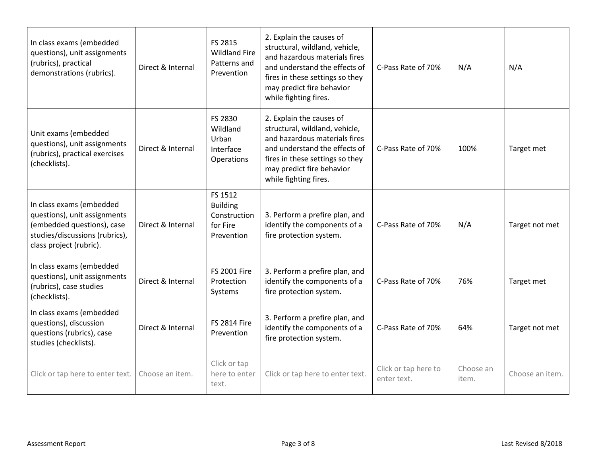| In class exams (embedded<br>questions), unit assignments<br>(rubrics), practical<br>demonstrations (rubrics).                                       | Direct & Internal | FS 2815<br><b>Wildland Fire</b><br>Patterns and<br>Prevention        | 2. Explain the causes of<br>structural, wildland, vehicle,<br>and hazardous materials fires<br>and understand the effects of<br>fires in these settings so they<br>may predict fire behavior<br>while fighting fires. | C-Pass Rate of 70%                  | N/A                | N/A             |
|-----------------------------------------------------------------------------------------------------------------------------------------------------|-------------------|----------------------------------------------------------------------|-----------------------------------------------------------------------------------------------------------------------------------------------------------------------------------------------------------------------|-------------------------------------|--------------------|-----------------|
| Unit exams (embedded<br>questions), unit assignments<br>(rubrics), practical exercises<br>(checklists).                                             | Direct & Internal | FS 2830<br>Wildland<br>Urban<br>Interface<br>Operations              | 2. Explain the causes of<br>structural, wildland, vehicle,<br>and hazardous materials fires<br>and understand the effects of<br>fires in these settings so they<br>may predict fire behavior<br>while fighting fires. | C-Pass Rate of 70%                  | 100%               | Target met      |
| In class exams (embedded<br>questions), unit assignments<br>(embedded questions), case<br>studies/discussions (rubrics),<br>class project (rubric). | Direct & Internal | FS 1512<br><b>Building</b><br>Construction<br>for Fire<br>Prevention | 3. Perform a prefire plan, and<br>identify the components of a<br>fire protection system.                                                                                                                             | C-Pass Rate of 70%                  | N/A                | Target not met  |
| In class exams (embedded<br>questions), unit assignments<br>(rubrics), case studies<br>(checklists).                                                | Direct & Internal | <b>FS 2001 Fire</b><br>Protection<br>Systems                         | 3. Perform a prefire plan, and<br>identify the components of a<br>fire protection system.                                                                                                                             | C-Pass Rate of 70%                  | 76%                | Target met      |
| In class exams (embedded<br>questions), discussion<br>questions (rubrics), case<br>studies (checklists).                                            | Direct & Internal | <b>FS 2814 Fire</b><br>Prevention                                    | 3. Perform a prefire plan, and<br>identify the components of a<br>fire protection system.                                                                                                                             | C-Pass Rate of 70%                  | 64%                | Target not met  |
| Click or tap here to enter text.                                                                                                                    | Choose an item.   | Click or tap<br>here to enter<br>text.                               | Click or tap here to enter text.                                                                                                                                                                                      | Click or tap here to<br>enter text. | Choose an<br>item. | Choose an item. |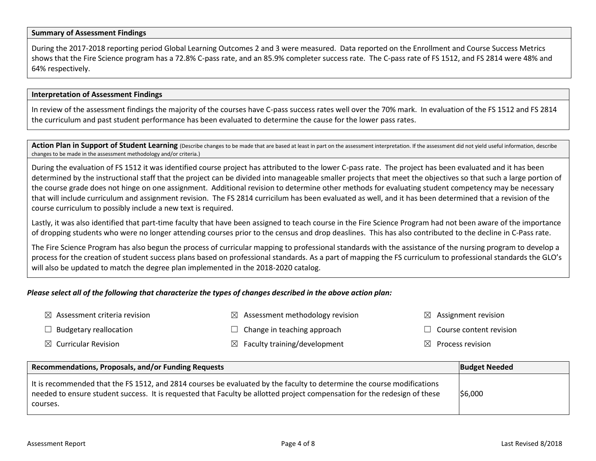### **Summary of Assessment Findings**

During the 2017-2018 reporting period Global Learning Outcomes 2 and 3 were measured. Data reported on the Enrollment and Course Success Metrics shows that the Fire Science program has a 72.8% C-pass rate, and an 85.9% completer success rate. The C-pass rate of FS 1512, and FS 2814 were 48% and 64% respectively.

#### **Interpretation of Assessment Findings**

In review of the assessment findings the majority of the courses have C-pass success rates well over the 70% mark. In evaluation of the FS 1512 and FS 2814 the curriculum and past student performance has been evaluated to determine the cause for the lower pass rates.

Action Plan in Support of Student Learning (Describe changes to be made that are based at least in part on the assessment interpretation. If the assessment did not yield useful information, describe changes to be made in the assessment methodology and/or criteria.)

During the evaluation of FS 1512 it was identified course project has attributed to the lower C-pass rate. The project has been evaluated and it has been determined by the instructional staff that the project can be divided into manageable smaller projects that meet the objectives so that such a large portion of the course grade does not hinge on one assignment. Additional revision to determine other methods for evaluating student competency may be necessary that will include curriculum and assignment revision. The FS 2814 curricilum has been evaluated as well, and it has been determined that a revision of the course curriculum to possibly include a new text is required.

Lastly, it was also identified that part-time faculty that have been assigned to teach course in the Fire Science Program had not been aware of the importance of dropping students who were no longer attending courses prior to the census and drop deaslines. This has also contributed to the decline in C-Pass rate.

The Fire Science Program has also begun the process of curricular mapping to professional standards with the assistance of the nursing program to develop a process for the creation of student success plans based on professional standards. As a part of mapping the FS curriculum to professional standards the GLO's will also be updated to match the degree plan implemented in the 2018-2020 catalog.

### *Please select all of the following that characterize the types of changes described in the above action plan:*

| $\boxtimes$ Assessment criteria revision | $\boxtimes$ Assessment methodology revision | $\boxtimes$ Assignment revision |
|------------------------------------------|---------------------------------------------|---------------------------------|
| $\Box$ Budgetary reallocation            | $\Box$ Change in teaching approach          | $\Box$ Course content revision  |
| $\boxtimes$ Curricular Revision          | $\boxtimes$ Faculty training/development    | $\boxtimes$ Process revision    |

| Recommendations, Proposals, and/or Funding Requests                                                                                                                                                                                                             | <b>Budget Needed</b> |
|-----------------------------------------------------------------------------------------------------------------------------------------------------------------------------------------------------------------------------------------------------------------|----------------------|
| It is recommended that the FS 1512, and 2814 courses be evaluated by the faculty to determine the course modifications<br>needed to ensure student success. It is requested that Faculty be allotted project compensation for the redesign of these<br>courses. | \$6,000              |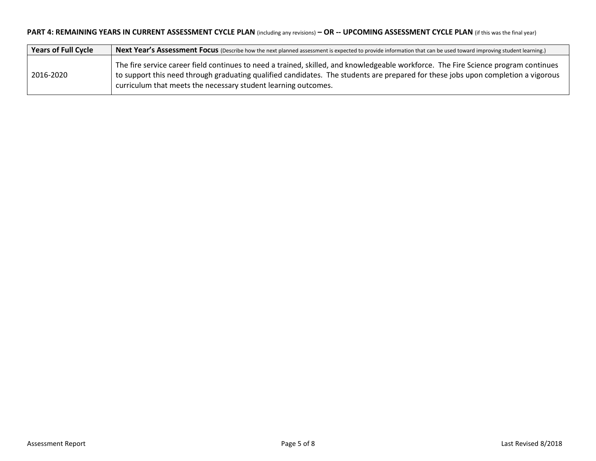# **PART 4: REMAINING YEARS IN CURRENT ASSESSMENT CYCLE PLAN** (including any revisions) **– OR -- UPCOMING ASSESSMENT CYCLE PLAN** (if this was the final year)

| <b>Years of Full Cycle</b> | Next Year's Assessment Focus (Describe how the next planned assessment is expected to provide information that can be used toward improving student learning.)                                                                                                                                                                             |
|----------------------------|--------------------------------------------------------------------------------------------------------------------------------------------------------------------------------------------------------------------------------------------------------------------------------------------------------------------------------------------|
| 2016-2020                  | The fire service career field continues to need a trained, skilled, and knowledgeable workforce. The Fire Science program continues<br>to support this need through graduating qualified candidates. The students are prepared for these jobs upon completion a vigorous<br>curriculum that meets the necessary student learning outcomes. |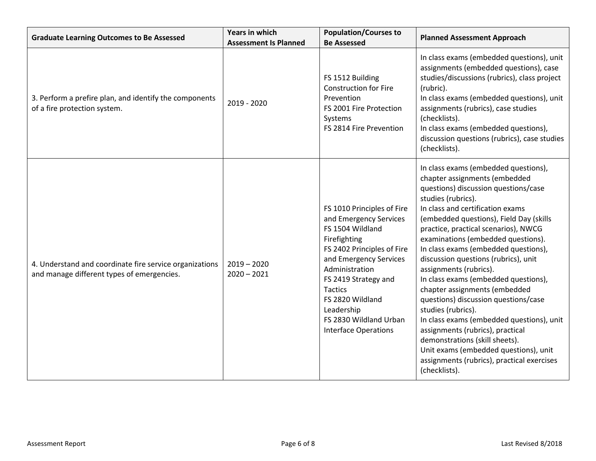| <b>Graduate Learning Outcomes to Be Assessed</b>                                                      | Years in which<br><b>Population/Courses to</b><br><b>Be Assessed</b><br><b>Assessment Is Planned</b> |                                                                                                                                                                                                                                                                                                         | <b>Planned Assessment Approach</b>                                                                                                                                                                                                                                                                                                                                                                                                                                                                                                                                                                                                                                                                                                                                           |  |
|-------------------------------------------------------------------------------------------------------|------------------------------------------------------------------------------------------------------|---------------------------------------------------------------------------------------------------------------------------------------------------------------------------------------------------------------------------------------------------------------------------------------------------------|------------------------------------------------------------------------------------------------------------------------------------------------------------------------------------------------------------------------------------------------------------------------------------------------------------------------------------------------------------------------------------------------------------------------------------------------------------------------------------------------------------------------------------------------------------------------------------------------------------------------------------------------------------------------------------------------------------------------------------------------------------------------------|--|
| 3. Perform a prefire plan, and identify the components<br>of a fire protection system.                | 2019 - 2020                                                                                          | FS 1512 Building<br><b>Construction for Fire</b><br>Prevention<br>FS 2001 Fire Protection<br>Systems<br>FS 2814 Fire Prevention                                                                                                                                                                         | In class exams (embedded questions), unit<br>assignments (embedded questions), case<br>studies/discussions (rubrics), class project<br>(rubric).<br>In class exams (embedded questions), unit<br>assignments (rubrics), case studies<br>(checklists).<br>In class exams (embedded questions),<br>discussion questions (rubrics), case studies<br>(checklists).                                                                                                                                                                                                                                                                                                                                                                                                               |  |
| 4. Understand and coordinate fire service organizations<br>and manage different types of emergencies. | $2019 - 2020$<br>$2020 - 2021$                                                                       | FS 1010 Principles of Fire<br>and Emergency Services<br>FS 1504 Wildland<br>Firefighting<br>FS 2402 Principles of Fire<br>and Emergency Services<br>Administration<br>FS 2419 Strategy and<br><b>Tactics</b><br>FS 2820 Wildland<br>Leadership<br>FS 2830 Wildland Urban<br><b>Interface Operations</b> | In class exams (embedded questions),<br>chapter assignments (embedded<br>questions) discussion questions/case<br>studies (rubrics).<br>In class and certification exams<br>(embedded questions), Field Day (skills<br>practice, practical scenarios), NWCG<br>examinations (embedded questions).<br>In class exams (embedded questions),<br>discussion questions (rubrics), unit<br>assignments (rubrics).<br>In class exams (embedded questions),<br>chapter assignments (embedded<br>questions) discussion questions/case<br>studies (rubrics).<br>In class exams (embedded questions), unit<br>assignments (rubrics), practical<br>demonstrations (skill sheets).<br>Unit exams (embedded questions), unit<br>assignments (rubrics), practical exercises<br>(checklists). |  |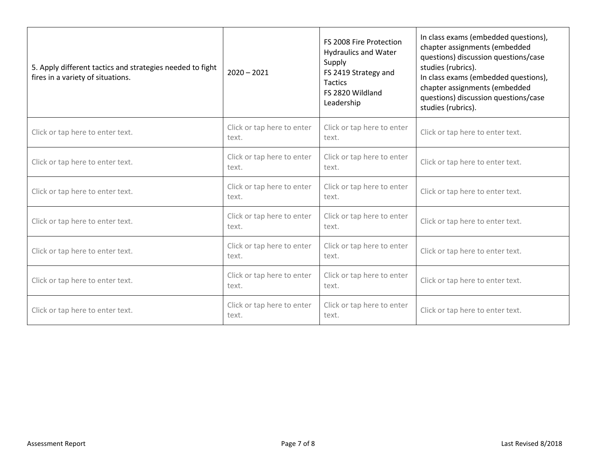| 5. Apply different tactics and strategies needed to fight<br>fires in a variety of situations. | $2020 - 2021$                       | FS 2008 Fire Protection<br><b>Hydraulics and Water</b><br>Supply<br>FS 2419 Strategy and<br><b>Tactics</b><br>FS 2820 Wildland<br>Leadership | In class exams (embedded questions),<br>chapter assignments (embedded<br>questions) discussion questions/case<br>studies (rubrics).<br>In class exams (embedded questions),<br>chapter assignments (embedded<br>questions) discussion questions/case<br>studies (rubrics). |  |
|------------------------------------------------------------------------------------------------|-------------------------------------|----------------------------------------------------------------------------------------------------------------------------------------------|----------------------------------------------------------------------------------------------------------------------------------------------------------------------------------------------------------------------------------------------------------------------------|--|
| Click or tap here to enter text.                                                               | Click or tap here to enter<br>text. | Click or tap here to enter<br>text.                                                                                                          | Click or tap here to enter text.                                                                                                                                                                                                                                           |  |
| Click or tap here to enter text.                                                               | Click or tap here to enter<br>text. | Click or tap here to enter<br>text.                                                                                                          | Click or tap here to enter text.                                                                                                                                                                                                                                           |  |
| Click or tap here to enter text.                                                               | Click or tap here to enter<br>text. | Click or tap here to enter<br>text.                                                                                                          | Click or tap here to enter text.                                                                                                                                                                                                                                           |  |
| Click or tap here to enter text.                                                               | Click or tap here to enter<br>text. | Click or tap here to enter<br>text.                                                                                                          | Click or tap here to enter text.                                                                                                                                                                                                                                           |  |
| Click or tap here to enter text.                                                               | Click or tap here to enter<br>text. | Click or tap here to enter<br>text.                                                                                                          | Click or tap here to enter text.                                                                                                                                                                                                                                           |  |
| Click or tap here to enter text.                                                               | Click or tap here to enter<br>text. | Click or tap here to enter<br>text.                                                                                                          | Click or tap here to enter text.                                                                                                                                                                                                                                           |  |
| Click or tap here to enter text.                                                               | Click or tap here to enter<br>text. | Click or tap here to enter<br>text.                                                                                                          | Click or tap here to enter text.                                                                                                                                                                                                                                           |  |